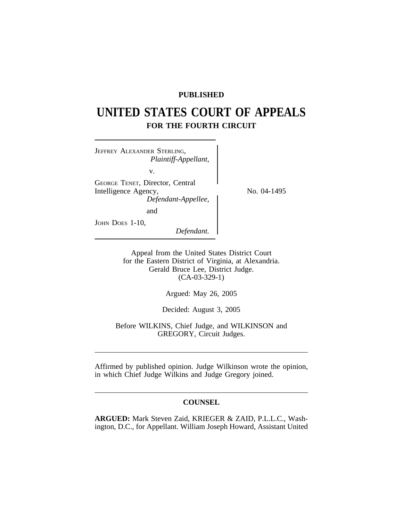## **PUBLISHED**

# **UNITED STATES COURT OF APPEALS FOR THE FOURTH CIRCUIT**

<sup>J</sup>EFFREY ALEXANDER STERLING, *Plaintiff-Appellant,* v. GEORGE TENET, Director, Central Intelligence Agency,  $\qquad \qquad \gamma$  No. 04-1495 *Defendant-Appellee,* and JOHN DOES 1-10,

Appeal from the United States District Court for the Eastern District of Virginia, at Alexandria. Gerald Bruce Lee, District Judge. (CA-03-329-1)

*Defendant.*

Argued: May 26, 2005

Decided: August 3, 2005

Before WILKINS, Chief Judge, and WILKINSON and GREGORY, Circuit Judges.

Affirmed by published opinion. Judge Wilkinson wrote the opinion, in which Chief Judge Wilkins and Judge Gregory joined.

## **COUNSEL**

**ARGUED:** Mark Steven Zaid, KRIEGER & ZAID, P.L.L.C., Washington, D.C., for Appellant. William Joseph Howard, Assistant United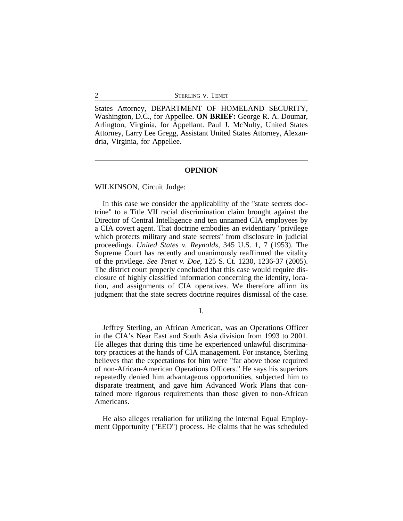States Attorney, DEPARTMENT OF HOMELAND SECURITY, Washington, D.C., for Appellee. **ON BRIEF:** George R. A. Doumar, Arlington, Virginia, for Appellant. Paul J. McNulty, United States Attorney, Larry Lee Gregg, Assistant United States Attorney, Alexandria, Virginia, for Appellee.

#### **OPINION**

WILKINSON, Circuit Judge:

In this case we consider the applicability of the "state secrets doctrine" to a Title VII racial discrimination claim brought against the Director of Central Intelligence and ten unnamed CIA employees by a CIA covert agent. That doctrine embodies an evidentiary "privilege which protects military and state secrets" from disclosure in judicial proceedings. *United States v. Reynolds*, 345 U.S. 1, 7 (1953). The Supreme Court has recently and unanimously reaffirmed the vitality of the privilege. *See Tenet v. Doe*, 125 S. Ct. 1230, 1236-37 (2005). The district court properly concluded that this case would require disclosure of highly classified information concerning the identity, location, and assignments of CIA operatives. We therefore affirm its judgment that the state secrets doctrine requires dismissal of the case.

I.

Jeffrey Sterling, an African American, was an Operations Officer in the CIA's Near East and South Asia division from 1993 to 2001. He alleges that during this time he experienced unlawful discriminatory practices at the hands of CIA management. For instance, Sterling believes that the expectations for him were "far above those required of non-African-American Operations Officers." He says his superiors repeatedly denied him advantageous opportunities, subjected him to disparate treatment, and gave him Advanced Work Plans that contained more rigorous requirements than those given to non-African Americans.

He also alleges retaliation for utilizing the internal Equal Employment Opportunity ("EEO") process. He claims that he was scheduled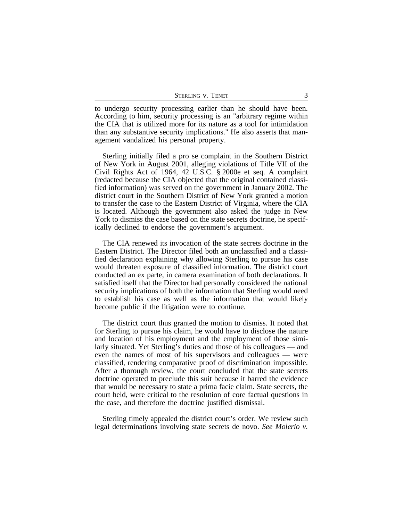to undergo security processing earlier than he should have been. According to him, security processing is an "arbitrary regime within the CIA that is utilized more for its nature as a tool for intimidation than any substantive security implications." He also asserts that management vandalized his personal property.

Sterling initially filed a pro se complaint in the Southern District of New York in August 2001, alleging violations of Title VII of the Civil Rights Act of 1964, 42 U.S.C. § 2000e et seq. A complaint (redacted because the CIA objected that the original contained classified information) was served on the government in January 2002. The district court in the Southern District of New York granted a motion to transfer the case to the Eastern District of Virginia, where the CIA is located. Although the government also asked the judge in New York to dismiss the case based on the state secrets doctrine, he specifically declined to endorse the government's argument.

The CIA renewed its invocation of the state secrets doctrine in the Eastern District. The Director filed both an unclassified and a classified declaration explaining why allowing Sterling to pursue his case would threaten exposure of classified information. The district court conducted an ex parte, in camera examination of both declarations. It satisfied itself that the Director had personally considered the national security implications of both the information that Sterling would need to establish his case as well as the information that would likely become public if the litigation were to continue.

The district court thus granted the motion to dismiss. It noted that for Sterling to pursue his claim, he would have to disclose the nature and location of his employment and the employment of those similarly situated. Yet Sterling's duties and those of his colleagues — and even the names of most of his supervisors and colleagues — were classified, rendering comparative proof of discrimination impossible. After a thorough review, the court concluded that the state secrets doctrine operated to preclude this suit because it barred the evidence that would be necessary to state a prima facie claim. State secrets, the court held, were critical to the resolution of core factual questions in the case, and therefore the doctrine justified dismissal.

Sterling timely appealed the district court's order. We review such legal determinations involving state secrets de novo. *See Molerio v.*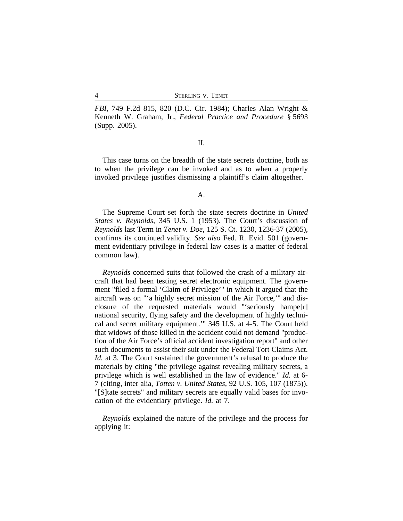*FBI*, 749 F.2d 815, 820 (D.C. Cir. 1984); Charles Alan Wright & Kenneth W. Graham, Jr., *Federal Practice and Procedure* § 5693 (Supp. 2005).

#### II.

This case turns on the breadth of the state secrets doctrine, both as to when the privilege can be invoked and as to when a properly invoked privilege justifies dismissing a plaintiff's claim altogether.

A.

The Supreme Court set forth the state secrets doctrine in *United States v. Reynolds*, 345 U.S. 1 (1953). The Court's discussion of *Reynolds* last Term in *Tenet v. Doe*, 125 S. Ct. 1230, 1236-37 (2005), confirms its continued validity. *See also* Fed. R. Evid. 501 (government evidentiary privilege in federal law cases is a matter of federal common law).

*Reynolds* concerned suits that followed the crash of a military aircraft that had been testing secret electronic equipment. The government "filed a formal 'Claim of Privilege'" in which it argued that the aircraft was on "'a highly secret mission of the Air Force,'" and disclosure of the requested materials would "'seriously hampe[r] national security, flying safety and the development of highly technical and secret military equipment.'" 345 U.S. at 4-5. The Court held that widows of those killed in the accident could not demand "production of the Air Force's official accident investigation report" and other such documents to assist their suit under the Federal Tort Claims Act. *Id.* at 3. The Court sustained the government's refusal to produce the materials by citing "the privilege against revealing military secrets, a privilege which is well established in the law of evidence." *Id.* at 6- 7 (citing, inter alia, *Totten v. United States*, 92 U.S. 105, 107 (1875)). "[S]tate secrets" and military secrets are equally valid bases for invocation of the evidentiary privilege. *Id.* at 7.

*Reynolds* explained the nature of the privilege and the process for applying it: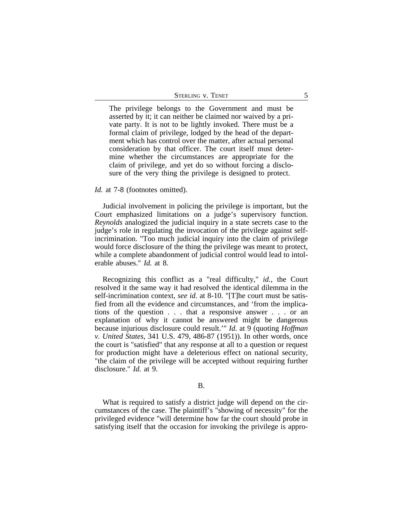| STERLING V. TENET |  |
|-------------------|--|
|                   |  |

The privilege belongs to the Government and must be asserted by it; it can neither be claimed nor waived by a private party. It is not to be lightly invoked. There must be a formal claim of privilege, lodged by the head of the department which has control over the matter, after actual personal consideration by that officer. The court itself must determine whether the circumstances are appropriate for the claim of privilege, and yet do so without forcing a disclosure of the very thing the privilege is designed to protect.

## *Id.* at 7-8 (footnotes omitted).

Judicial involvement in policing the privilege is important, but the Court emphasized limitations on a judge's supervisory function. *Reynolds* analogized the judicial inquiry in a state secrets case to the judge's role in regulating the invocation of the privilege against selfincrimination. "Too much judicial inquiry into the claim of privilege would force disclosure of the thing the privilege was meant to protect, while a complete abandonment of judicial control would lead to intolerable abuses." *Id.* at 8.

Recognizing this conflict as a "real difficulty," *id.*, the Court resolved it the same way it had resolved the identical dilemma in the self-incrimination context, *see id.* at 8-10. "[T]he court must be satisfied from all the evidence and circumstances, and 'from the implications of the question . . . that a responsive answer . . . or an explanation of why it cannot be answered might be dangerous because injurious disclosure could result.'" *Id.* at 9 (quoting *Hoffman v. United States*, 341 U.S. 479, 486-87 (1951)). In other words, once the court is "satisfied" that any response at all to a question or request for production might have a deleterious effect on national security, "the claim of the privilege will be accepted without requiring further disclosure." *Id.* at 9.

#### B.

What is required to satisfy a district judge will depend on the circumstances of the case. The plaintiff's "showing of necessity" for the privileged evidence "will determine how far the court should probe in satisfying itself that the occasion for invoking the privilege is appro-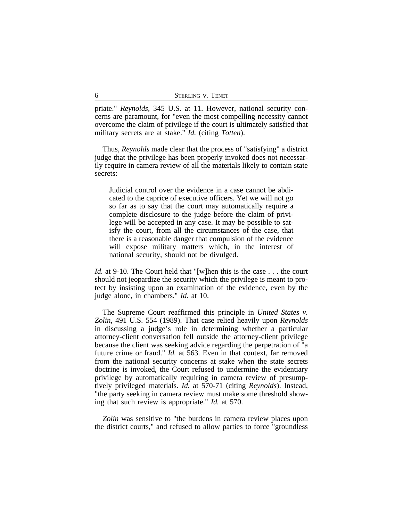priate." *Reynolds*, 345 U.S. at 11. However, national security concerns are paramount, for "even the most compelling necessity cannot overcome the claim of privilege if the court is ultimately satisfied that military secrets are at stake." *Id.* (citing *Totten*).

Thus, *Reynolds* made clear that the process of "satisfying" a district judge that the privilege has been properly invoked does not necessarily require in camera review of all the materials likely to contain state secrets:

Judicial control over the evidence in a case cannot be abdicated to the caprice of executive officers. Yet we will not go so far as to say that the court may automatically require a complete disclosure to the judge before the claim of privilege will be accepted in any case. It may be possible to satisfy the court, from all the circumstances of the case, that there is a reasonable danger that compulsion of the evidence will expose military matters which, in the interest of national security, should not be divulged.

*Id.* at 9-10. The Court held that "[w]hen this is the case . . . the court should not jeopardize the security which the privilege is meant to protect by insisting upon an examination of the evidence, even by the judge alone, in chambers." *Id.* at 10.

The Supreme Court reaffirmed this principle in *United States v. Zolin*, 491 U.S. 554 (1989). That case relied heavily upon *Reynolds* in discussing a judge's role in determining whether a particular attorney-client conversation fell outside the attorney-client privilege because the client was seeking advice regarding the perpetration of "a future crime or fraud." *Id.* at 563. Even in that context, far removed from the national security concerns at stake when the state secrets doctrine is invoked, the Court refused to undermine the evidentiary privilege by automatically requiring in camera review of presumptively privileged materials. *Id.* at 570-71 (citing *Reynolds*). Instead, "the party seeking in camera review must make some threshold showing that such review is appropriate." *Id.* at 570.

*Zolin* was sensitive to "the burdens in camera review places upon the district courts," and refused to allow parties to force "groundless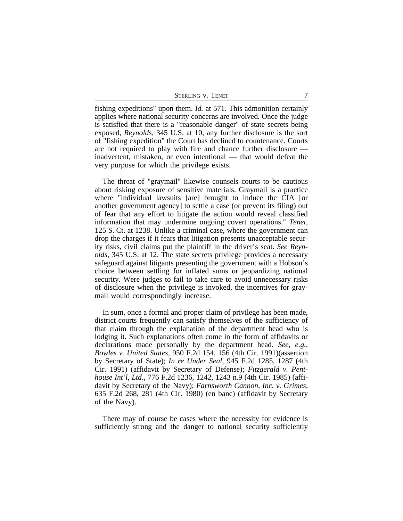fishing expeditions" upon them. *Id.* at 571. This admonition certainly applies where national security concerns are involved. Once the judge is satisfied that there is a "reasonable danger" of state secrets being exposed, *Reynolds*, 345 U.S. at 10, any further disclosure is the sort of "fishing expedition" the Court has declined to countenance. Courts are not required to play with fire and chance further disclosure inadvertent, mistaken, or even intentional — that would defeat the very purpose for which the privilege exists.

The threat of "graymail" likewise counsels courts to be cautious about risking exposure of sensitive materials. Graymail is a practice where "individual lawsuits [are] brought to induce the CIA [or another government agency] to settle a case (or prevent its filing) out of fear that any effort to litigate the action would reveal classified information that may undermine ongoing covert operations." *Tenet*, 125 S. Ct. at 1238. Unlike a criminal case, where the government can drop the charges if it fears that litigation presents unacceptable security risks, civil claims put the plaintiff in the driver's seat. *See Reynolds*, 345 U.S. at 12. The state secrets privilege provides a necessary safeguard against litigants presenting the government with a Hobson's choice between settling for inflated sums or jeopardizing national security. Were judges to fail to take care to avoid unnecessary risks of disclosure when the privilege is invoked, the incentives for graymail would correspondingly increase.

In sum, once a formal and proper claim of privilege has been made, district courts frequently can satisfy themselves of the sufficiency of that claim through the explanation of the department head who is lodging it. Such explanations often come in the form of affidavits or declarations made personally by the department head. *See, e.g.*, *Bowles v. United States*, 950 F.2d 154, 156 (4th Cir. 1991)(assertion by Secretary of State); *In re Under Seal*, 945 F.2d 1285, 1287 (4th Cir. 1991) (affidavit by Secretary of Defense); *Fitzgerald v. Penthouse Int'l, Ltd.*, 776 F.2d 1236, 1242, 1243 n.9 (4th Cir. 1985) (affidavit by Secretary of the Navy); *Farnsworth Cannon, Inc. v. Grimes*, 635 F.2d 268, 281 (4th Cir. 1980) (en banc) (affidavit by Secretary of the Navy).

There may of course be cases where the necessity for evidence is sufficiently strong and the danger to national security sufficiently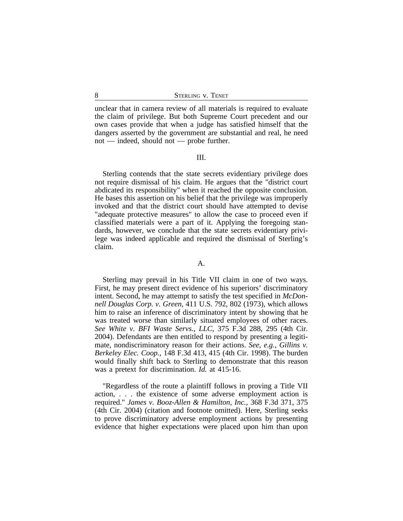unclear that in camera review of all materials is required to evaluate the claim of privilege. But both Supreme Court precedent and our own cases provide that when a judge has satisfied himself that the dangers asserted by the government are substantial and real, he need not — indeed, should not — probe further.

#### III.

Sterling contends that the state secrets evidentiary privilege does not require dismissal of his claim. He argues that the "district court abdicated its responsibility" when it reached the opposite conclusion. He bases this assertion on his belief that the privilege was improperly invoked and that the district court should have attempted to devise "adequate protective measures" to allow the case to proceed even if classified materials were a part of it. Applying the foregoing standards, however, we conclude that the state secrets evidentiary privilege was indeed applicable and required the dismissal of Sterling's claim.

## A.

Sterling may prevail in his Title VII claim in one of two ways. First, he may present direct evidence of his superiors' discriminatory intent. Second, he may attempt to satisfy the test specified in *McDonnell Douglas Corp. v. Green*, 411 U.S. 792, 802 (1973), which allows him to raise an inference of discriminatory intent by showing that he was treated worse than similarly situated employees of other races. *See White v. BFI Waste Servs., LLC*, 375 F.3d 288, 295 (4th Cir. 2004). Defendants are then entitled to respond by presenting a legitimate, nondiscriminatory reason for their actions. *See, e.g.*, *Gillins v. Berkeley Elec. Coop.*, 148 F.3d 413, 415 (4th Cir. 1998). The burden would finally shift back to Sterling to demonstrate that this reason was a pretext for discrimination. *Id.* at 415-16.

"Regardless of the route a plaintiff follows in proving a Title VII action, . . . the existence of some adverse employment action is required." *James v. Booz-Allen & Hamilton, Inc.*, 368 F.3d 371, 375 (4th Cir. 2004) (citation and footnote omitted). Here, Sterling seeks to prove discriminatory adverse employment actions by presenting evidence that higher expectations were placed upon him than upon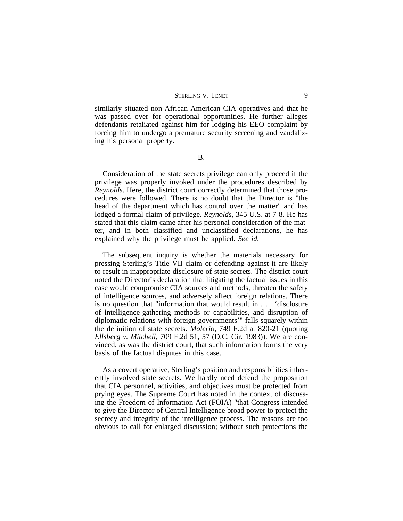similarly situated non-African American CIA operatives and that he was passed over for operational opportunities. He further alleges defendants retaliated against him for lodging his EEO complaint by forcing him to undergo a premature security screening and vandalizing his personal property.

B.

Consideration of the state secrets privilege can only proceed if the privilege was properly invoked under the procedures described by *Reynolds*. Here, the district court correctly determined that those procedures were followed. There is no doubt that the Director is "the head of the department which has control over the matter" and has lodged a formal claim of privilege. *Reynolds*, 345 U.S. at 7-8. He has stated that this claim came after his personal consideration of the matter, and in both classified and unclassified declarations, he has explained why the privilege must be applied. *See id.*

The subsequent inquiry is whether the materials necessary for pressing Sterling's Title VII claim or defending against it are likely to result in inappropriate disclosure of state secrets. The district court noted the Director's declaration that litigating the factual issues in this case would compromise CIA sources and methods, threaten the safety of intelligence sources, and adversely affect foreign relations. There is no question that "information that would result in . . . 'disclosure of intelligence-gathering methods or capabilities, and disruption of diplomatic relations with foreign governments'" falls squarely within the definition of state secrets. *Molerio*, 749 F.2d at 820-21 (quoting *Ellsberg v. Mitchell*, 709 F.2d 51, 57 (D.C. Cir. 1983)). We are convinced, as was the district court, that such information forms the very basis of the factual disputes in this case.

As a covert operative, Sterling's position and responsibilities inherently involved state secrets. We hardly need defend the proposition that CIA personnel, activities, and objectives must be protected from prying eyes. The Supreme Court has noted in the context of discussing the Freedom of Information Act (FOIA) "that Congress intended to give the Director of Central Intelligence broad power to protect the secrecy and integrity of the intelligence process. The reasons are too obvious to call for enlarged discussion; without such protections the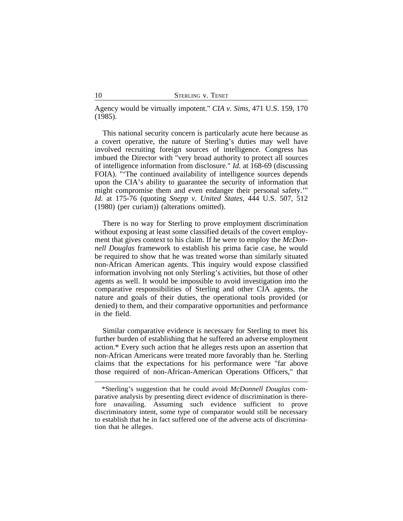Agency would be virtually impotent." *CIA v. Sims*, 471 U.S. 159, 170 (1985).

This national security concern is particularly acute here because as a covert operative, the nature of Sterling's duties may well have involved recruiting foreign sources of intelligence. Congress has imbued the Director with "very broad authority to protect all sources of intelligence information from disclosure." *Id.* at 168-69 (discussing FOIA). "'The continued availability of intelligence sources depends upon the CIA's ability to guarantee the security of information that might compromise them and even endanger their personal safety.'" *Id.* at 175-76 (quoting *Snepp v. United States*, 444 U.S. 507, 512 (1980) (per curiam)) (alterations omitted).

There is no way for Sterling to prove employment discrimination without exposing at least some classified details of the covert employment that gives context to his claim. If he were to employ the *McDonnell Douglas* framework to establish his prima facie case, he would be required to show that he was treated worse than similarly situated non-African American agents. This inquiry would expose classified information involving not only Sterling's activities, but those of other agents as well. It would be impossible to avoid investigation into the comparative responsibilities of Sterling and other CIA agents, the nature and goals of their duties, the operational tools provided (or denied) to them, and their comparative opportunities and performance in the field.

Similar comparative evidence is necessary for Sterling to meet his further burden of establishing that he suffered an adverse employment action.\* Every such action that he alleges rests upon an assertion that non-African Americans were treated more favorably than he. Sterling claims that the expectations for his performance were "far above those required of non-African-American Operations Officers," that

<sup>\*</sup>Sterling's suggestion that he could avoid *McDonnell Douglas* comparative analysis by presenting direct evidence of discrimination is therefore unavailing. Assuming such evidence sufficient to prove discriminatory intent, some type of comparator would still be necessary to establish that he in fact suffered one of the adverse acts of discrimination that he alleges.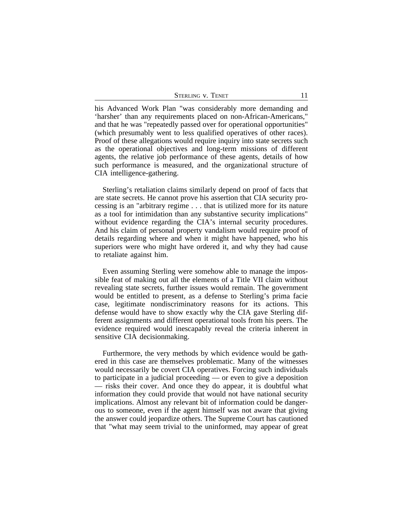his Advanced Work Plan "was considerably more demanding and 'harsher' than any requirements placed on non-African-Americans," and that he was "repeatedly passed over for operational opportunities" (which presumably went to less qualified operatives of other races). Proof of these allegations would require inquiry into state secrets such as the operational objectives and long-term missions of different agents, the relative job performance of these agents, details of how such performance is measured, and the organizational structure of CIA intelligence-gathering.

Sterling's retaliation claims similarly depend on proof of facts that are state secrets. He cannot prove his assertion that CIA security processing is an "arbitrary regime . . . that is utilized more for its nature as a tool for intimidation than any substantive security implications" without evidence regarding the CIA's internal security procedures. And his claim of personal property vandalism would require proof of details regarding where and when it might have happened, who his superiors were who might have ordered it, and why they had cause to retaliate against him.

Even assuming Sterling were somehow able to manage the impossible feat of making out all the elements of a Title VII claim without revealing state secrets, further issues would remain. The government would be entitled to present, as a defense to Sterling's prima facie case, legitimate nondiscriminatory reasons for its actions. This defense would have to show exactly why the CIA gave Sterling different assignments and different operational tools from his peers. The evidence required would inescapably reveal the criteria inherent in sensitive CIA decisionmaking.

Furthermore, the very methods by which evidence would be gathered in this case are themselves problematic. Many of the witnesses would necessarily be covert CIA operatives. Forcing such individuals to participate in a judicial proceeding — or even to give a deposition — risks their cover. And once they do appear, it is doubtful what information they could provide that would not have national security implications. Almost any relevant bit of information could be dangerous to someone, even if the agent himself was not aware that giving the answer could jeopardize others. The Supreme Court has cautioned that "what may seem trivial to the uninformed, may appear of great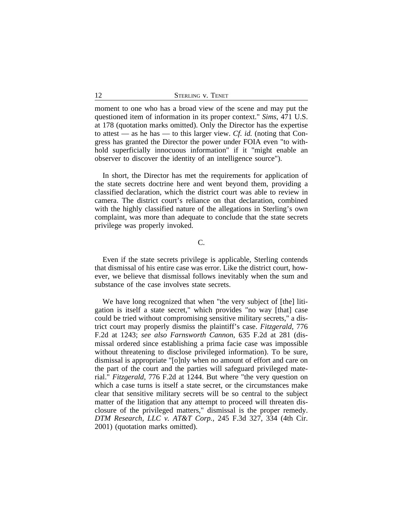moment to one who has a broad view of the scene and may put the questioned item of information in its proper context." *Sims*, 471 U.S. at 178 (quotation marks omitted). Only the Director has the expertise to attest — as he has — to this larger view. *Cf. id.* (noting that Congress has granted the Director the power under FOIA even "to withhold superficially innocuous information" if it "might enable an observer to discover the identity of an intelligence source").

In short, the Director has met the requirements for application of the state secrets doctrine here and went beyond them, providing a classified declaration, which the district court was able to review in camera. The district court's reliance on that declaration, combined with the highly classified nature of the allegations in Sterling's own complaint, was more than adequate to conclude that the state secrets privilege was properly invoked.

# C.

Even if the state secrets privilege is applicable, Sterling contends that dismissal of his entire case was error. Like the district court, however, we believe that dismissal follows inevitably when the sum and substance of the case involves state secrets.

We have long recognized that when "the very subject of [the] litigation is itself a state secret," which provides "no way [that] case could be tried without compromising sensitive military secrets," a district court may properly dismiss the plaintiff's case. *Fitzgerald*, 776 F.2d at 1243; *see also Farnsworth Cannon*, 635 F.2d at 281 (dismissal ordered since establishing a prima facie case was impossible without threatening to disclose privileged information). To be sure, dismissal is appropriate "[o]nly when no amount of effort and care on the part of the court and the parties will safeguard privileged material." *Fitzgerald*, 776 F.2d at 1244. But where "the very question on which a case turns is itself a state secret, or the circumstances make clear that sensitive military secrets will be so central to the subject matter of the litigation that any attempt to proceed will threaten disclosure of the privileged matters," dismissal is the proper remedy. *DTM Research, LLC v. AT&T Corp.*, 245 F.3d 327, 334 (4th Cir. 2001) (quotation marks omitted).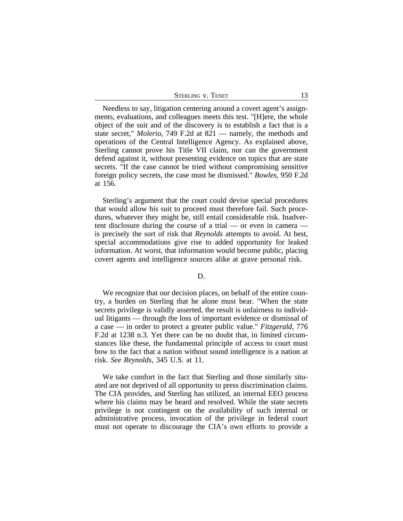| STERLING V. TENET |  |
|-------------------|--|
|-------------------|--|

Needless to say, litigation centering around a covert agent's assignments, evaluations, and colleagues meets this test. "[H]ere, the whole object of the suit and of the discovery is to establish a fact that is a state secret," *Molerio*, 749 F.2d at 821 — namely, the methods and operations of the Central Intelligence Agency. As explained above, Sterling cannot prove his Title VII claim, nor can the government defend against it, without presenting evidence on topics that are state secrets. "If the case cannot be tried without compromising sensitive foreign policy secrets, the case must be dismissed." *Bowles*, 950 F.2d at 156.

Sterling's argument that the court could devise special procedures that would allow his suit to proceed must therefore fail. Such procedures, whatever they might be, still entail considerable risk. Inadvertent disclosure during the course of a trial — or even in camera is precisely the sort of risk that *Reynolds* attempts to avoid. At best, special accommodations give rise to added opportunity for leaked information. At worst, that information would become public, placing covert agents and intelligence sources alike at grave personal risk.

### D.

We recognize that our decision places, on behalf of the entire country, a burden on Sterling that he alone must bear. "When the state secrets privilege is validly asserted, the result is unfairness to individual litigants — through the loss of important evidence or dismissal of a case — in order to protect a greater public value." *Fitzgerald*, 776 F.2d at 1238 n.3. Yet there can be no doubt that, in limited circumstances like these, the fundamental principle of access to court must bow to the fact that a nation without sound intelligence is a nation at risk. *See Reynolds*, 345 U.S. at 11.

We take comfort in the fact that Sterling and those similarly situated are not deprived of all opportunity to press discrimination claims. The CIA provides, and Sterling has utilized, an internal EEO process where his claims may be heard and resolved. While the state secrets privilege is not contingent on the availability of such internal or administrative process, invocation of the privilege in federal court must not operate to discourage the CIA's own efforts to provide a